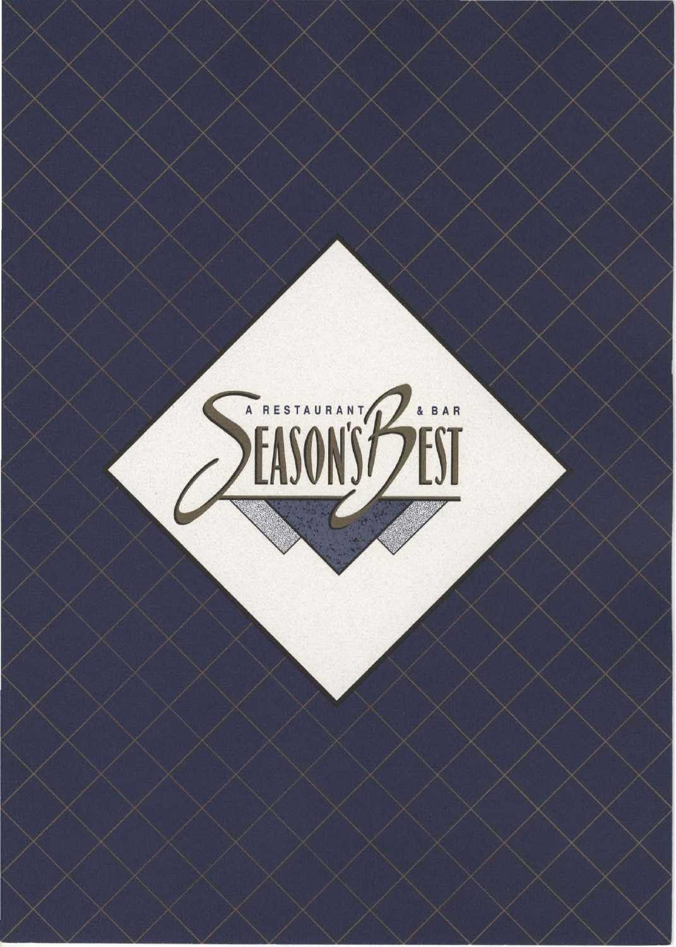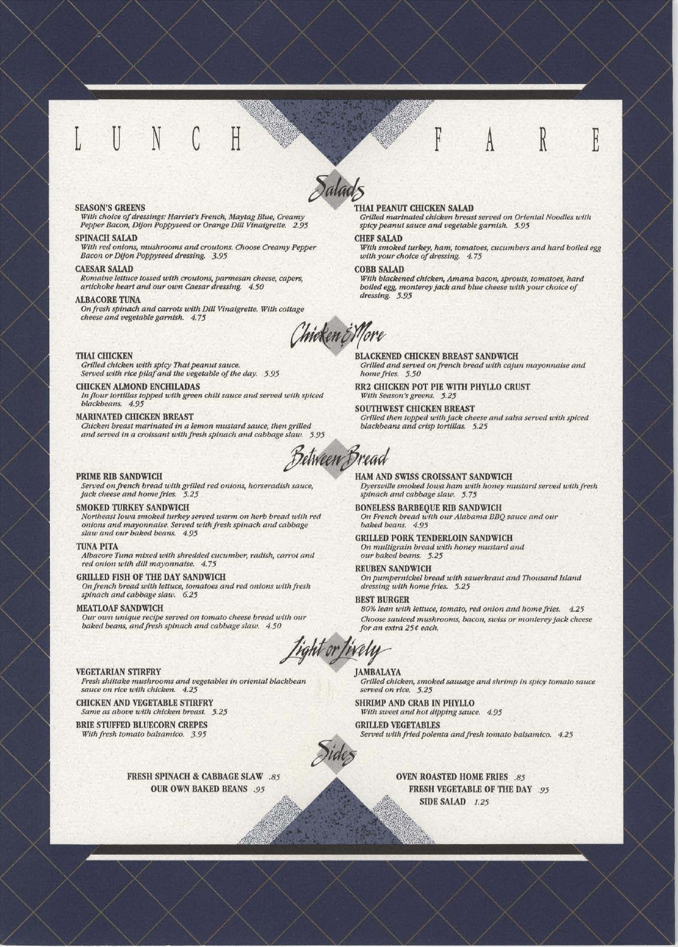#### **SEASON'S GREENS**

With choice of dressings: Harriet's French, Maytag Blue, Creamy<br>Pepper Bacon, Dijon Poppyseed or Orange Dill Vinaigrette. 2.95

### **SPINACH SALAD**

With red onions, mushrooms and croutons. Choose Creamy Pepper Bacon or Dijon Poppyseed dressing. 3.95

#### **CAESAR SALAD**

Romaine lettuce tossed with croutons, parmesan cheese, capers, artichoke heart and our own Caesar dressing. 4.50

#### **ALBACORE TUNA**

On fresh spinach and carrots with Dill Vinaigrette. With cottage cheese and vegetable garnish. 4.75

Chicken & More

#### **THAI CHICKEN**

Grilled chicken with spicy Thai peanut sauce.<br>Served with rice pilaf and the vegetable of the day. 5.95

#### **CHICKEN ALMOND ENCHILADAS**

In flour tortillas topped with green chili sauce and served with spiced blackbeans. 4.95

#### MARINATED CHICKEN BREAST

Chicken breast marinated in a lemon mustard sauce, then grilled and served in a croissant with fresh spinach and cabbage slaw. 5.95

Between Bread

#### PRIME RIB SANDWICH

Served on french bread with grilled red onions, horseradish sauce, jack cheese and home fries. 5.25

#### SMOKED TURKEY SANDWICH

Northeast Iowa smoked turkey served warm on herb bread with red<br>onions and mayonnaise. Served with fresh spinach and cabbage slaw and our baked beans. 4.95

#### **TUNA PITA**

Albacore Tuna mixed with shredded cucumber, radish, carrot and red onion with dill mayonnaise. 4.75

**GRILLED FISH OF THE DAY SANDWICH** On french bread with lettuce, tomatoes and red onions with fresh spinach and cabbage slaw.  $6.25$ 

#### **MEATLOAF SANDWICH**

Our own unique recipe served on tomato cheese bread with our<br>baked beans, and fresh spinach and cabbage slaw. 4.50

tight or fixely

#### **VEGETARIAN STIRFRY**

Fresh shiitake mushrooms and vegetables in oriental blackbean sauce on rice with chicken. 4.25

**CHICKEN AND VEGETABLE STIRFRY** Same as above with chicken breast. 5.25

**BRIE STUFFED BLUECORN CREPES** With fresh tomato balsamico. 3.95

> FRESH SPINACH & CABBAGE SLAW .85 **OUR OWN BAKED BEANS .95**

#### THAI PEANUT CHICKEN SALAD

Grilled marinated chicken breast served on Oriental Noodles with spicy peanut sauce and vegetable garnish. 5.95

#### **CHEF SALAD**

With smoked turkey, ham, tomatoes, cucumbers and hard boiled egg with your choice of dressing. 4.75

#### **COBB SALAD**

With blackened chicken, Amana bacon, sprouts, tomatoes, hard boiled egg, monterey jack and blue cheese with your choice of dressing. 5.95

**BLACKENED CHICKEN BREAST SANDWICH** Grilled and served on french bread with cajun mayonnaise and home fries. 5.50

RR2 CHICKEN POT PIE WITH PHYLLO CRUST With Season's greens.  $5.25$ 

SOUTHWEST CHICKEN BREAST Grilled then topped with jack cheese and salsa served with spiced blackbeans and crisp tortillas. 5.25

HAM AND SWISS CROISSANT SANDWICH Dyersville smoked Iowa ham with honey mustard served with fresh spinach and cabbage slaw. 5.75

**BONELESS BARBEQUE RIB SANDWICH** On French bread with our Alabama BBQ sauce and our baked beans. 4.95

GRILLED PORK TENDERLOIN SANDWICH On multigrain bread with honey mustard and our baked beans. 5.25

#### **REUBEN SANDWICH**

On pumpernickel bread with sauerkraut and Thousand Island dressing with home fries. 5.25

#### **BEST BURGER**

80% lean with lettuce, tomato, red onion and home fries. 4.25 Choose sauteed mushrooms, bacon, swiss or monterey jack cheese for an extra 25¢ each.

**JAMBALAYA** Grilled chicken, smoked sausage and shrimp in spicy tomato sauce served on rice. 5.25

SHRIMP AND CRAB IN PHYLLO With sweet and hot dipping sauce. 4.95 **GRILLED VEGETABLES** 

Served with fried polenta and fresh tomato balsamico. 4.25

**OVEN ROASTED HOME FRIES .85** FRESH VEGETABLE OF THE DAY .95 SIDE SALAD 1.25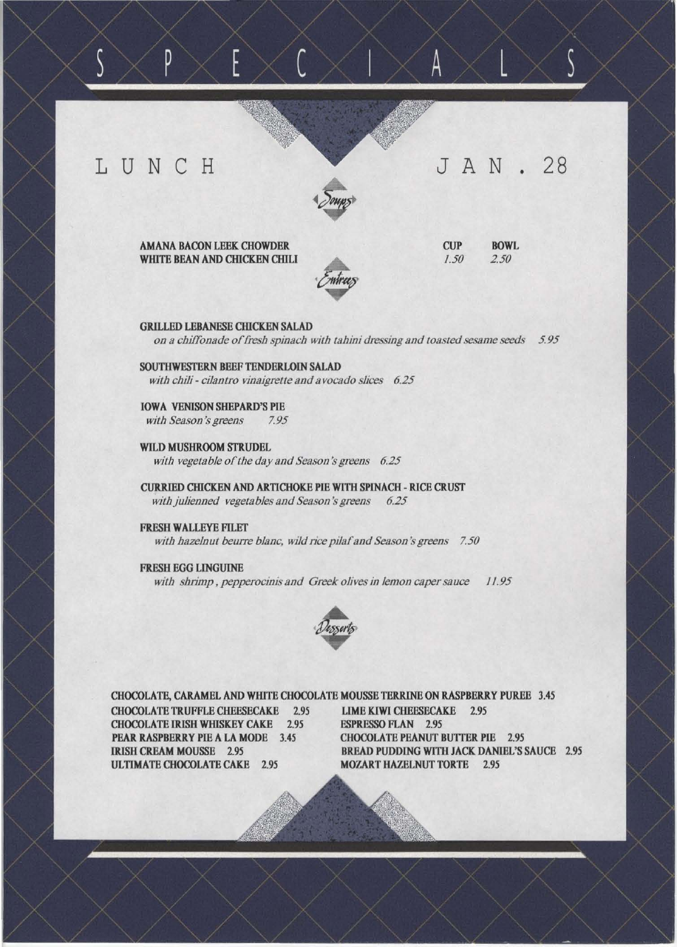## L U N C H

D

# JAN. 28



AMANA BACON LEEK CHOWDER WHITE BEAN AND CHICKEN CHILI **CUP** *1.50*  BOWL

A

*2.50* 

GRILLED LEBANESE CHICKEN SALAD *on a chiffonade offresh spinach with tahini dressing and toasted sesame seeds 5.95* 

SOUTHWESfERN BEEF TENDERLOIN SALAD with chili - cilantro vinaigrette and avocado slices 6.25

IOWA VENISON SHEPARD'S PIE *with Season'sgreens* ~95

WILD MUSHROOM STRUDEL *with vegetable of the day and Season 's greens 6.25* 

CURRIED CIllCKEN AND ARTICHOKE PIE WITH SPINACH - RICE CRUST with julienned vegetables and Season's greens 6.25

FRESH WALLEYE FILET with hazelnut beurre blanc, wild rice pilaf and Season's greens 7.50

FRESH EGG LINGUINE with shrimp, pepperocinis and Greek olives in lemon caper sauce 11.95



CHOCOLATE, CARAMEL AND WHITE CHOCOLATE MOUSSE TERRINE ON RASPBERRY PUREE 3.45 CHOCOLATE TRUFFLE CHEESECAKE 2.95 LIME KlWI CHEESECAKE 2.95 CHOCOLATE IRISH WillSKEY CAKE 2.95 ESPRESSO FLAN 2.95 PEAR RASPBERRY PIE A LA MODE 3.45 CHOCOLATE PEANUT BUTTER PIE 2.95 IRISH CREAM MOUSSE 2.95 BREAD PUDDING WITH JACK DANIEL'S SAUCE 2.95 ULTIMATE CHOCOLATE CAKE 2.95 MOZART HAZELNUT TORTE 2.95